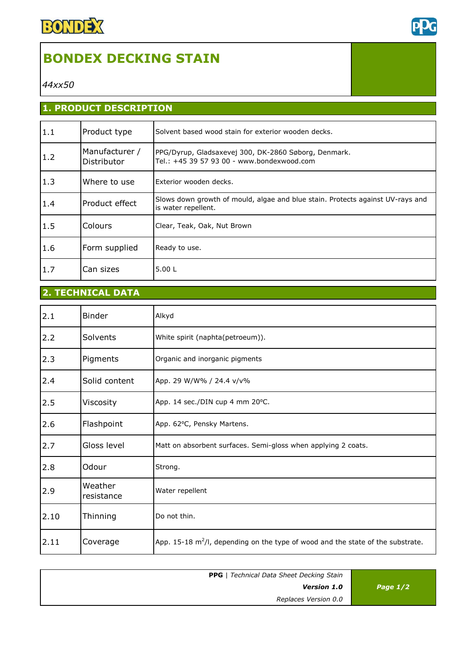

# **BONDEX DECKING STAIN**

*44xx50*

## **1. PRODUCT DESCRIPTION**

| 1.1 | Product type                  | Solvent based wood stain for exterior wooden decks.                                                   |
|-----|-------------------------------|-------------------------------------------------------------------------------------------------------|
| 1.2 | Manufacturer /<br>Distributor | PPG/Dyrup, Gladsaxevej 300, DK-2860 Søborg, Denmark.<br>Tel.: +45 39 57 93 00 - www.bondexwood.com    |
| 1.3 | Where to use                  | Exterior wooden decks.                                                                                |
| 1.4 | Product effect                | Slows down growth of mould, algae and blue stain. Protects against UV-rays and<br>is water repellent. |
| 1.5 | Colours                       | Clear, Teak, Oak, Nut Brown                                                                           |
| 1.6 | Form supplied                 | Ready to use.                                                                                         |
| 1.7 | Can sizes                     | 5.00L                                                                                                 |

# **2. TECHNICAL DATA**

| 2.1  | <b>Binder</b>         | Alkyd                                                                              |
|------|-----------------------|------------------------------------------------------------------------------------|
| 2.2  | Solvents              | White spirit (naphta(petroeum)).                                                   |
| 2.3  | Pigments              | Organic and inorganic pigments                                                     |
| 2.4  | Solid content         | App. 29 W/W% / 24.4 v/v%                                                           |
| 2.5  | Viscosity             | App. 14 sec./DIN cup 4 mm 20°C.                                                    |
| 2.6  | Flashpoint            | App. 62°C, Pensky Martens.                                                         |
| 2.7  | Gloss level           | Matt on absorbent surfaces. Semi-gloss when applying 2 coats.                      |
| 2.8  | Odour                 | Strong.                                                                            |
| 2.9  | Weather<br>resistance | Water repellent                                                                    |
| 2.10 | Thinning              | Do not thin.                                                                       |
| 2.11 | Coverage              | App. 15-18 $m^2/l$ , depending on the type of wood and the state of the substrate. |

| Page $1/2$ | <b>PPG</b>   Technical Data Sheet Decking Stain<br><b>Version 1.0</b> |
|------------|-----------------------------------------------------------------------|
|            | Replaces Version 0.0                                                  |